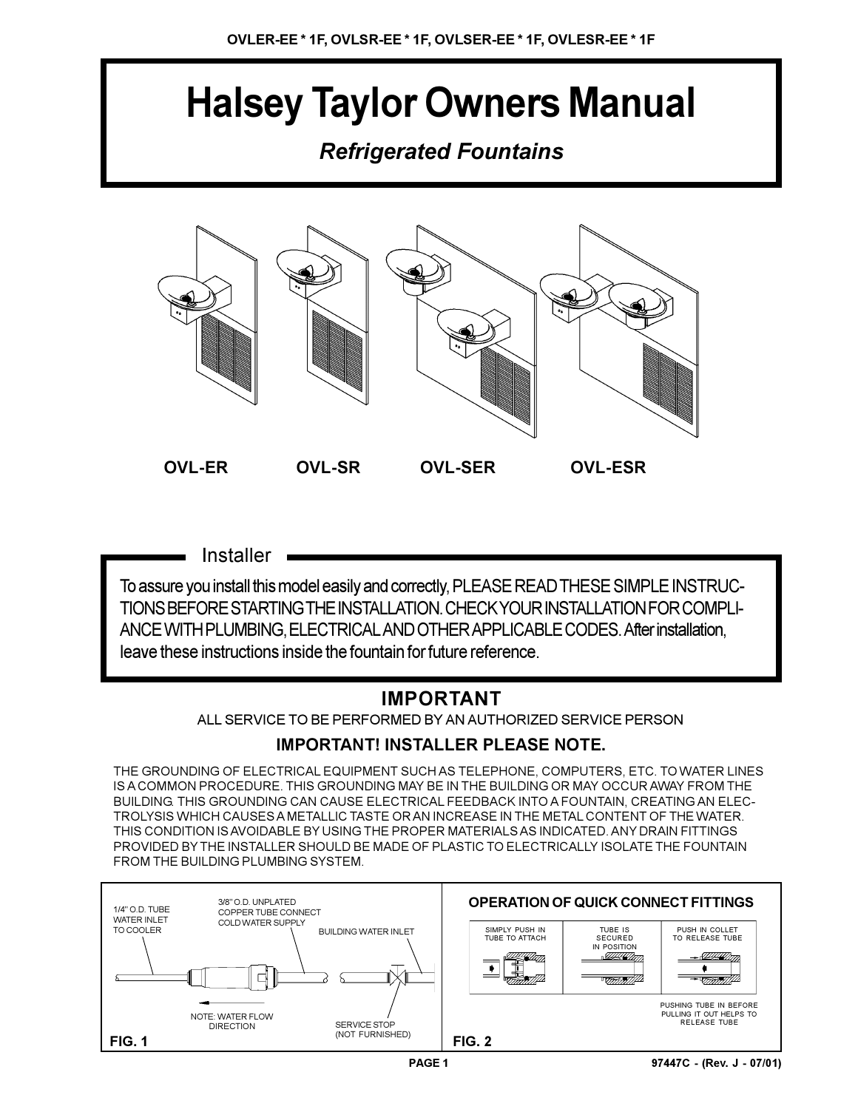# **Halsey Taylor Owners Manual**

## *Refrigerated Fountains*



**Installer** 

To assure you install this model easily and correctly, PLEASE READ THESE SIMPLE INSTRUC-TIONS BEFORE STARTING THE INSTALLATION. CHECK YOUR INSTALLATION FOR COMPLI-ANCE WITH PLUMBING, ELECTRICAL AND OTHER APPLICABLE CODES. After installation, leave these instructions inside the fountain for future reference.

## **IMPORTANT**

ALL SERVICE TO BE PERFORMED BY AN AUTHORIZED SERVICE PERSON

## **IMPORTANT! INSTALLER PLEASE NOTE.**

THE GROUNDING OF ELECTRICAL EQUIPMENT SUCH AS TELEPHONE, COMPUTERS, ETC. TO WATER LINES IS A COMMON PROCEDURE. THIS GROUNDING MAY BE IN THE BUILDING OR MAY OCCUR AWAY FROM THE BUILDING. THIS GROUNDING CAN CAUSE ELECTRICAL FEEDBACK INTO A FOUNTAIN, CREATING AN ELEC-TROLYSIS WHICH CAUSES A METALLIC TASTE OR AN INCREASE IN THE METAL CONTENT OF THE WATER. THIS CONDITION IS AVOIDABLE BY USING THE PROPER MATERIALS AS INDICATED. ANY DRAIN FITTINGS PROVIDED BY THE INSTALLER SHOULD BE MADE OF PLASTIC TO ELECTRICALLY ISOLATE THE FOUNTAIN FROM THE BUILDING PLUMBING SYSTEM.

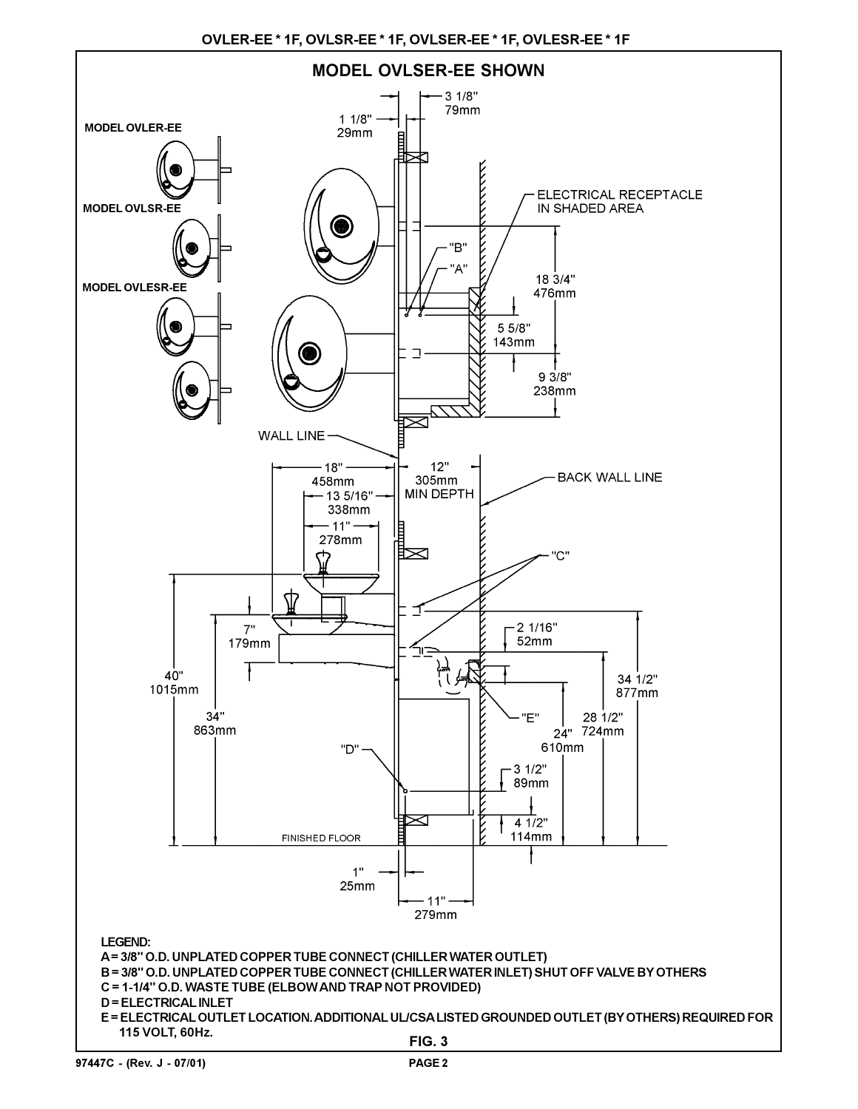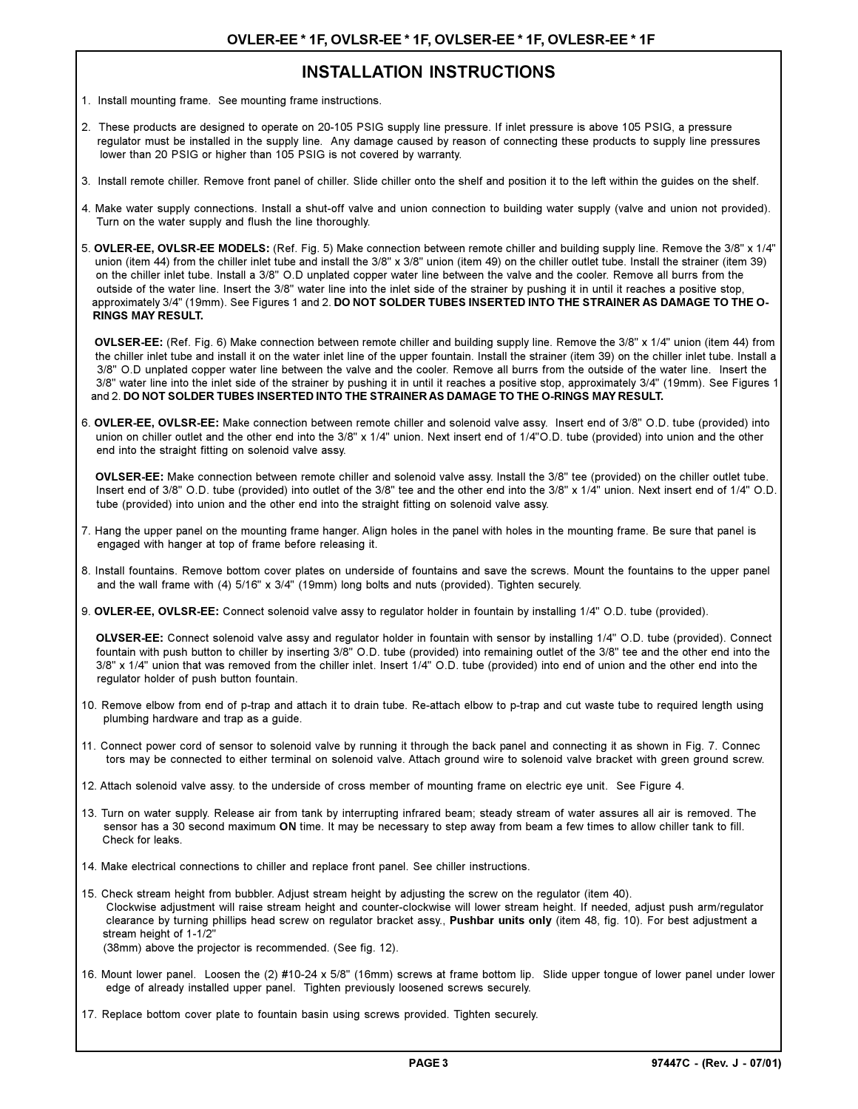### **INSTALLATION INSTRUCTIONS**

- 1. Install mounting frame. See mounting frame instructions.
- 2. These products are designed to operate on 20-105 PSIG supply line pressure. If inlet pressure is above 105 PSIG, a pressure regulator must be installed in the supply line. Any damage caused by reason of connecting these products to supply line pressures lower than 20 PSIG or higher than 105 PSIG is not covered by warranty.
- 3. Install remote chiller. Remove front panel of chiller. Slide chiller onto the shelf and position it to the left within the guides on the shelf.
- 4. Make water supply connections. Install a shut-off valve and union connection to building water supply (valve and union not provided). Turn on the water supply and flush the line thoroughly.
- 5. **OVLER-EE, OVLSR-EE MODELS:** (Ref. Fig. 5) Make connection between remote chiller and building supply line. Remove the 3/8" x 1/4" union (item 44) from the chiller inlet tube and install the 3/8" x 3/8" union (item 49) on the chiller outlet tube. Install the strainer (item 39) on the chiller inlet tube. Install a 3/8" O.D unplated copper water line between the valve and the cooler. Remove all burrs from the outside of the water line. Insert the 3/8" water line into the inlet side of the strainer by pushing it in until it reaches a positive stop, approximately 3/4" (19mm). See Figures 1 and 2. **DO NOT SOLDER TUBES INSERTED INTO THE STRAINER AS DAMAGE TO THE O- RINGS MAY RESULT.**

 **OVLSER-EE:** (Ref. Fig. 6) Make connection between remote chiller and building supply line. Remove the 3/8" x 1/4" union (item 44) from the chiller inlet tube and install it on the water inlet line of the upper fountain. Install the strainer (item 39) on the chiller inlet tube. Install a 3/8" O.D unplated copper water line between the valve and the cooler. Remove all burrs from the outside of the water line. Insert the 3/8" water line into the inlet side of the strainer by pushing it in until it reaches a positive stop, approximately 3/4" (19mm). See Figures 1 and 2. **DO NOT SOLDER TUBES INSERTED INTO THE STRAINER AS DAMAGE TO THE O-RINGS MAY RESULT.**

6. **OVLER-EE, OVLSR-EE:** Make connection between remote chiller and solenoid valve assy. Insert end of 3/8" O.D. tube (provided) into union on chiller outlet and the other end into the 3/8" x 1/4" union. Next insert end of 1/4"O.D. tube (provided) into union and the other end into the straight fitting on solenoid valve assy.

 **OVLSER-EE:** Make connection between remote chiller and solenoid valve assy. Install the 3/8" tee (provided) on the chiller outlet tube. Insert end of 3/8" O.D. tube (provided) into outlet of the 3/8" tee and the other end into the 3/8" x 1/4" union. Next insert end of 1/4" O.D. tube (provided) into union and the other end into the straight fitting on solenoid valve assy.

- 7. Hang the upper panel on the mounting frame hanger. Align holes in the panel with holes in the mounting frame. Be sure that panel is engaged with hanger at top of frame before releasing it.
- 8. Install fountains. Remove bottom cover plates on underside of fountains and save the screws. Mount the fountains to the upper panel and the wall frame with (4) 5/16" x 3/4" (19mm) long bolts and nuts (provided). Tighten securely.
- 9. **OVLER-EE, OVLSR-EE:** Connect solenoid valve assy to regulator holder in fountain by installing 1/4" O.D. tube (provided).

 **OLVSER-EE:** Connect solenoid valve assy and regulator holder in fountain with sensor by installing 1/4" O.D. tube (provided). Connect fountain with push button to chiller by inserting 3/8" O.D. tube (provided) into remaining outlet of the 3/8" tee and the other end into the 3/8" x 1/4" union that was removed from the chiller inlet. Insert 1/4" O.D. tube (provided) into end of union and the other end into the regulator holder of push button fountain.

- 10. Remove elbow from end of p-trap and attach it to drain tube. Re-attach elbow to p-trap and cut waste tube to required length using plumbing hardware and trap as a guide.
- 11. Connect power cord of sensor to solenoid valve by running it through the back panel and connecting it as shown in Fig. 7. Connec tors may be connected to either terminal on solenoid valve. Attach ground wire to solenoid valve bracket with green ground screw.
- 12. Attach solenoid valve assy. to the underside of cross member of mounting frame on electric eye unit. See Figure 4.
- 13. Turn on water supply. Release air from tank by interrupting infrared beam; steady stream of water assures all air is removed. The sensor has a 30 second maximum **ON** time. It may be necessary to step away from beam a few times to allow chiller tank to fill. Check for leaks.
- 14. Make electrical connections to chiller and replace front panel. See chiller instructions.
- 15. Check stream height from bubbler. Adjust stream height by adjusting the screw on the regulator (item 40). Clockwise adjustment will raise stream height and counter-clockwise will lower stream height. If needed, adjust push arm/regulator clearance by turning phillips head screw on regulator bracket assy., **Pushbar units only** (item 48, fig. 10). For best adjustment a stream height of 1-1/2"

(38mm) above the projector is recommended. (See fig. 12).

- 16. Mount lower panel. Loosen the (2) #10-24 x 5/8" (16mm) screws at frame bottom lip. Slide upper tongue of lower panel under lower edge of already installed upper panel. Tighten previously loosened screws securely.
- 17. Replace bottom cover plate to fountain basin using screws provided. Tighten securely.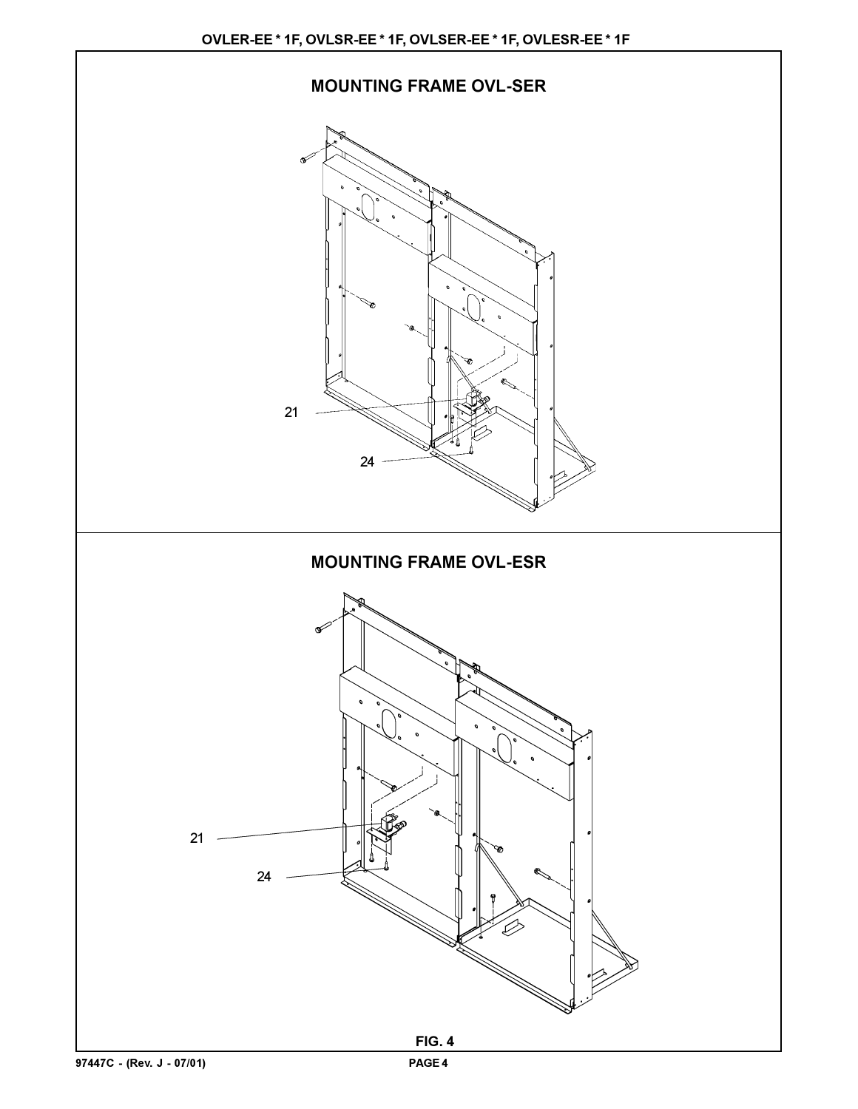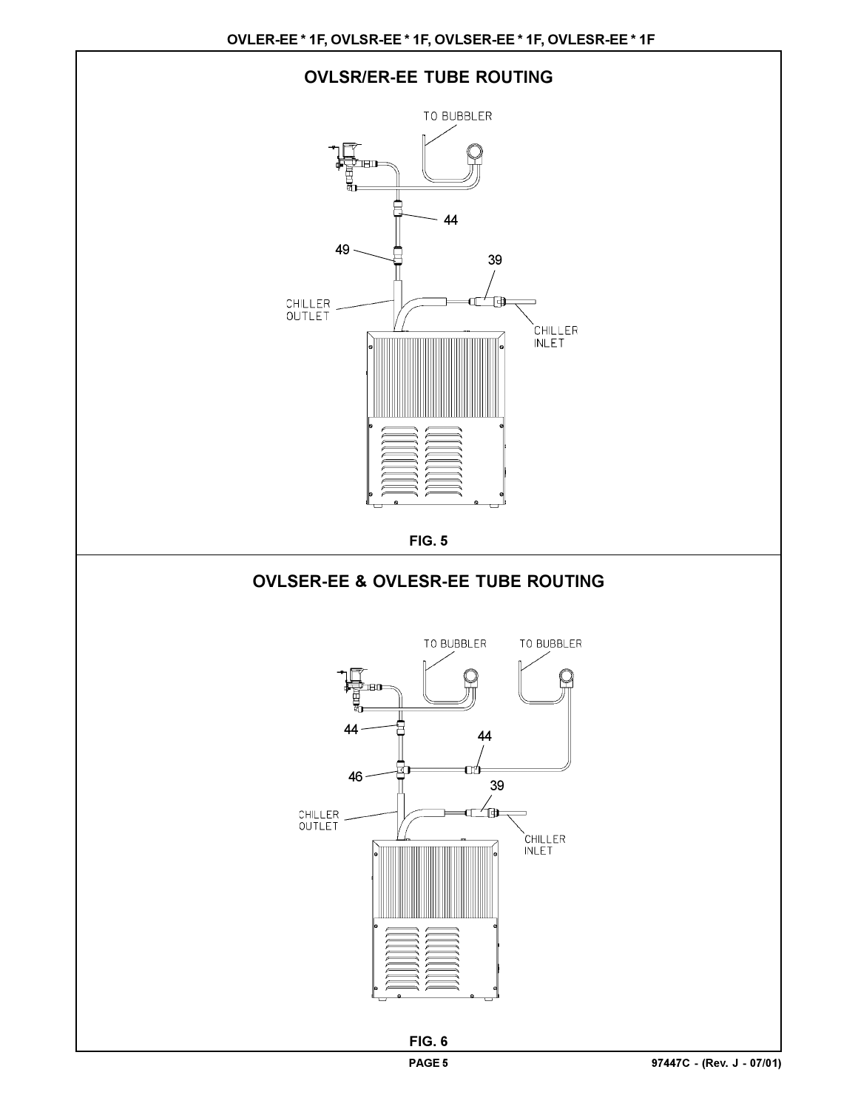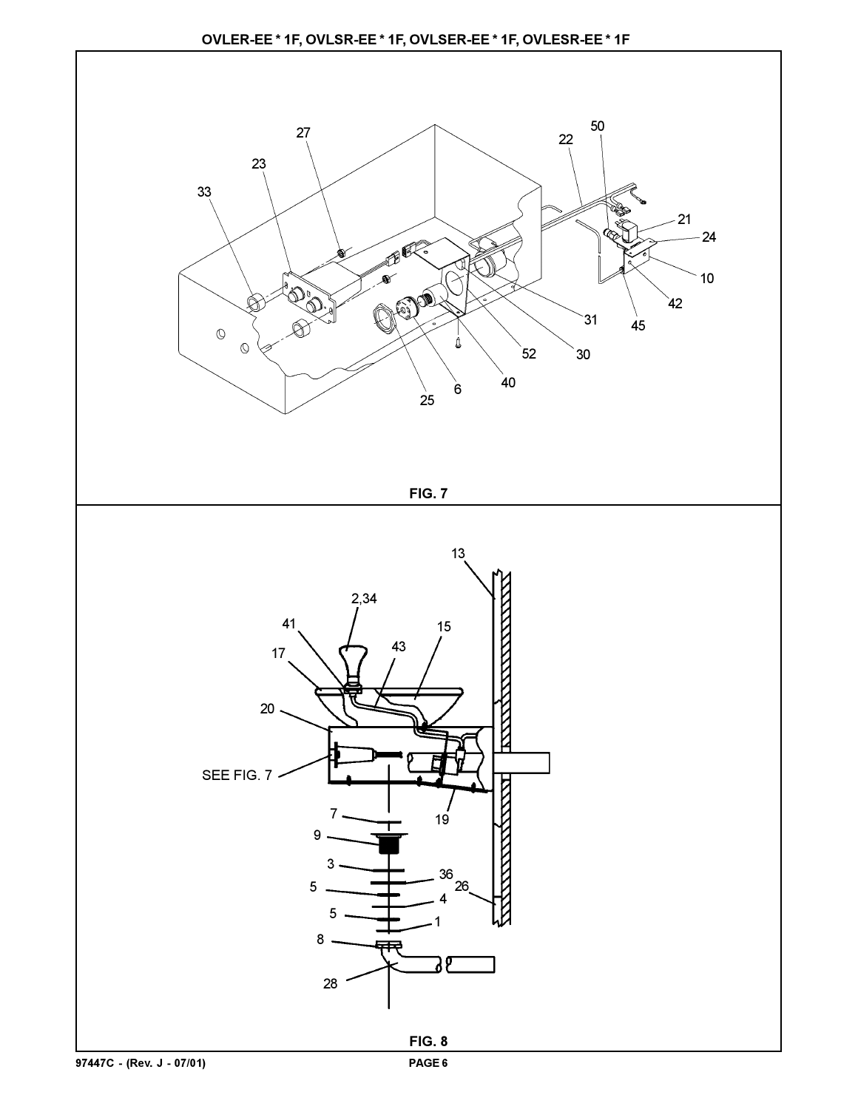

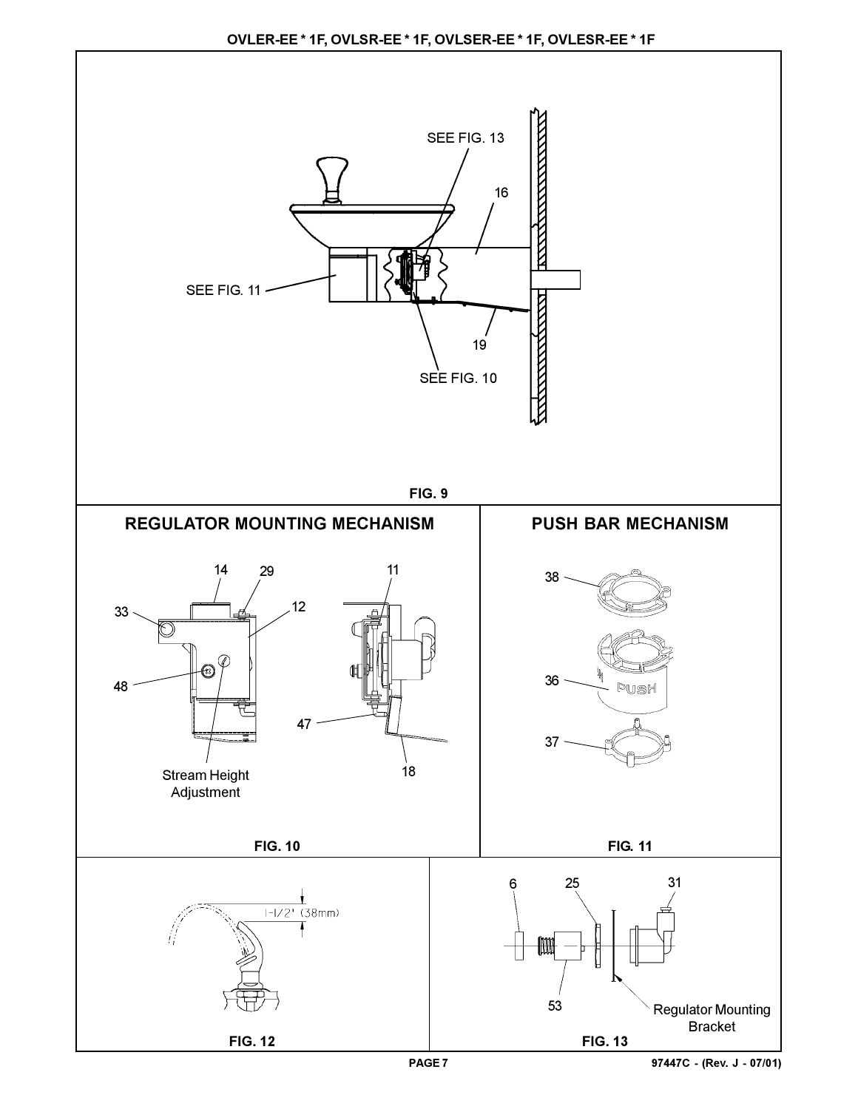